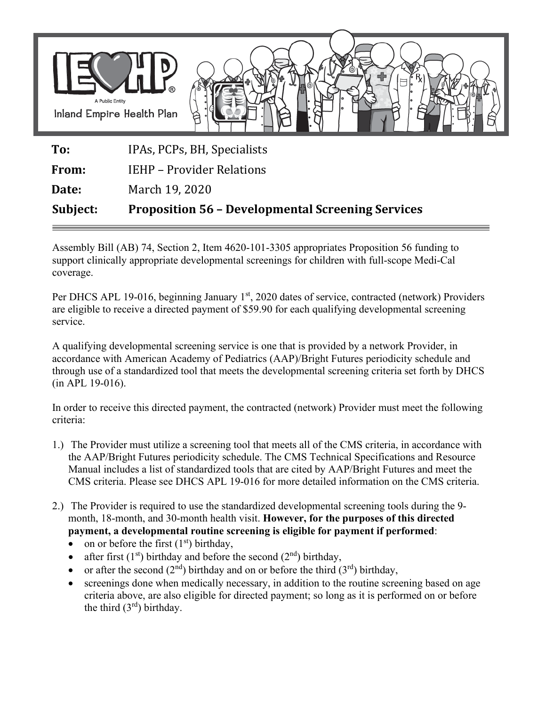

**To:** IPAs, PCPs, BH, Specialists

**From:** IEHP – Provider Relations

**Date:** March 19, 2020

**Subject: Proposition 56 – Developmental Screening Services** 

Assembly Bill (AB) 74, Section 2, Item 4620-101-3305 appropriates Proposition 56 funding to support clinically appropriate developmental screenings for children with full-scope Medi-Cal coverage.

Per DHCS APL 19-016, beginning January 1<sup>st</sup>, 2020 dates of service, contracted (network) Providers are eligible to receive a directed payment of \$59.90 for each qualifying developmental screening service.

A qualifying developmental screening service is one that is provided by a network Provider, in accordance with American Academy of Pediatrics (AAP)/Bright Futures periodicity schedule and through use of a standardized tool that meets the developmental screening criteria set forth by DHCS (in APL 19-016).

In order to receive this directed payment, the contracted (network) Provider must meet the following criteria:

- 1.) The Provider must utilize a screening tool that meets all of the CMS criteria, in accordance with the AAP/Bright Futures periodicity schedule. The CMS Technical Specifications and Resource Manual includes a list of standardized tools that are cited by AAP/Bright Futures and meet the CMS criteria. Please see DHCS APL 19-016 for more detailed information on the CMS criteria.
- 2.) The Provider is required to use the standardized developmental screening tools during the 9 month, 18-month, and 30-month health visit. **However, for the purposes of this directed payment, a developmental routine screening is eligible for payment if performed**:
	- on or before the first  $(1<sup>st</sup>)$  birthday,
	- after first  $(1<sup>st</sup>)$  birthday and before the second  $(2<sup>nd</sup>)$  birthday,
	- or after the second  $(2^{nd})$  birthday and on or before the third  $(3^{rd})$  birthday,
	- screenings done when medically necessary, in addition to the routine screening based on age criteria above, are also eligible for directed payment; so long as it is performed on or before the third  $(3<sup>rd</sup>)$  birthday.